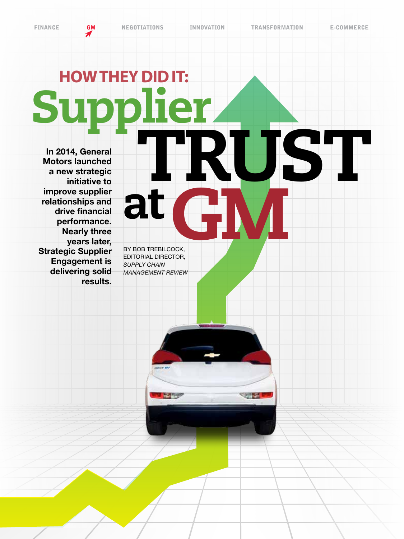FINANCE **GM** NEGOTIATIONS INNOVATION TRANSFORMATION E-COMMERCE

# **HOW THEY DID IT:** Supplier<br>
In 2014, General<br>
Motors launched<br>
a new strategic

In 2014, General Motors launched a new strategic initiative to improve supplier relationships and drive financial performance. Nearly three years later, Strategic Supplier Engagement is delivering solid results.

BY BOB TREBILCOCK, EDITORIAL DIRECTOR, *SUPPLY CHAIN*  GM *MANAGEMENT REVIEW*

**The Company** 

at

 $\sim$   $\sim$   $\sim$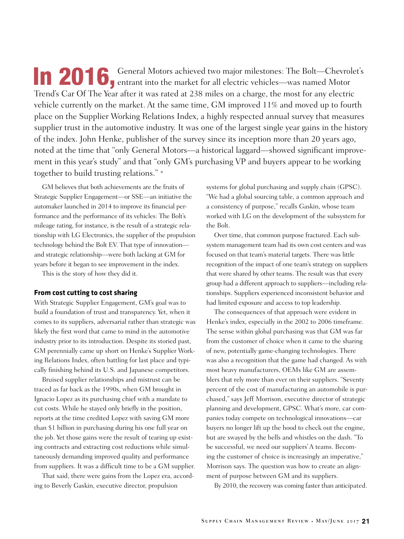**10 2016**, General Motors achieved two major milestones: The Bolt—Chevrolet's entrant into the market for all electric vehicles—was named Motor Trend's Car Of The Year after it was rated at 238 miles on a charge, the most for any electric vehicle currently on the market. At the same time, GM improved 11% and moved up to fourth place on the Supplier Working Relations Index, a highly respected annual survey that measures supplier trust in the automotive industry. It was one of the largest single year gains in the history of the index. John Henke, publisher of the survey since its inception more than 20 years ago, noted at the time that "only General Motors—a historical laggard—showed significant improvement in this year's study" and that "only GM's purchasing VP and buyers appear to be working together to build trusting relations." \*

GM believes that both achievements are the fruits of Strategic Supplier Engagement—or SSE—an initiative the automaker launched in 2014 to improve its financial performance and the performance of its vehicles: The Bolt's mileage rating, for instance, is the result of a strategic relationship with LG Electronics, the supplier of the propulsion technology behind the Bolt EV. That type of innovation and strategic relationship—were both lacking at GM for years before it began to see improvement in the index.

This is the story of how they did it.

### **From cost cutting to cost sharing**

With Strategic Supplier Engagement, GM's goal was to build a foundation of trust and transparency. Yet, when it comes to its suppliers, adversarial rather than strategic was likely the first word that came to mind in the automotive industry prior to its introduction. Despite its storied past, GM perennially came up short on Henke's Supplier Working Relations Index, often battling for last place and typically finishing behind its U.S. and Japanese competitors.

Bruised supplier relationships and mistrust can be traced as far back as the 1990s, when GM brought in Ignacio Lopez as its purchasing chief with a mandate to cut costs. While he stayed only briefly in the position, reports at the time credited Lopez with saving GM more than \$1 billion in purchasing during his one full year on the job. Yet those gains were the result of tearing up existing contracts and extracting cost reductions while simultaneously demanding improved quality and performance from suppliers. It was a difficult time to be a GM supplier.

That said, there were gains from the Lopez era, according to Beverly Gaskin, executive director, propulsion

systems for global purchasing and supply chain (GPSC). "We had a global sourcing table, a common approach and a consistency of purpose," recalls Gaskin, whose team worked with LG on the development of the subsystem for the Bolt.

Over time, that common purpose fractured. Each subsystem management team had its own cost centers and was focused on that team's material targets. There was little recognition of the impact of one team's strategy on suppliers that were shared by other teams. The result was that every group had a different approach to suppliers—including relationships. Suppliers experienced inconsistent behavior and had limited exposure and access to top leadership.

The consequences of that approach were evident in Henke's index, especially in the 2002 to 2006 timeframe. The sense within global purchasing was that GM was far from the customer of choice when it came to the sharing of new, potentially game-changing technologies. There was also a recognition that the game had changed. As with most heavy manufacturers, OEMs like GM are assemblers that rely more than ever on their suppliers. "Seventy percent of the cost of manufacturing an automobile is purchased," says Jeff Morrison, executive director of strategic planning and development, GPSC. What's more, car companies today compete on technological innovations—car buyers no longer lift up the hood to check out the engine, but are swayed by the bells and whistles on the dash. "To be successful, we need our suppliers' A teams. Becoming the customer of choice is increasingly an imperative," Morrison says. The question was how to create an alignment of purpose between GM and its suppliers.

By 2010, the recovery was coming faster than anticipated.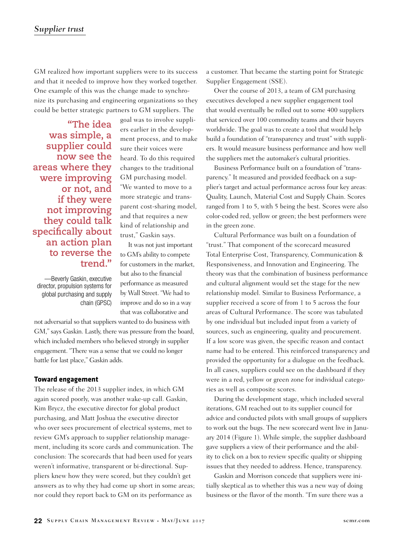GM realized how important suppliers were to its success and that it needed to improve how they worked together. One example of this was the change made to synchronize its purchasing and engineering organizations so they could be better strategic partners to GM suppliers. The

**"The idea was simple, a supplier could now see the areas where they were improving or not, and if they were not improving they could talk specifically about an action plan to reverse the trend."**

—Beverly Gaskin, executive director, propulsion systems for global purchasing and supply chain (GPSC) goal was to involve suppliers earlier in the development process, and to make sure their voices were heard. To do this required changes to the traditional GM purchasing model. "We wanted to move to a more strategic and transparent cost-sharing model, and that requires a new kind of relationship and trust," Gaskin says.

It was not just important to GM's ability to compete for customers in the market, but also to the financial performance as measured by Wall Street. "We had to improve and do so in a way that was collaborative and

not adversarial so that suppliers wanted to do business with GM," says Gaskin. Lastly, there was pressure from the board, which included members who believed strongly in supplier engagement. "There was a sense that we could no longer battle for last place," Gaskin adds.

### **Toward engagement**

The release of the 2013 supplier index, in which GM again scored poorly, was another wake-up call. Gaskin, Kim Brycz, the executive director for global product purchasing, and Matt Joshua the executive director who over sees procurement of electrical systems, met to review GM's approach to supplier relationship management, including its score cards and communication. The conclusion: The scorecards that had been used for years weren't informative, transparent or bi-directional. Suppliers knew how they were scored, but they couldn't get answers as to why they had come up short in some areas; nor could they report back to GM on its performance as

a customer. That became the starting point for Strategic Supplier Engagement (SSE).

Over the course of 2013, a team of GM purchasing executives developed a new supplier engagement tool that would eventually be rolled out to some 400 suppliers that serviced over 100 commodity teams and their buyers worldwide. The goal was to create a tool that would help build a foundation of "transparency and trust" with suppliers. It would measure business performance and how well the suppliers met the automaker's cultural priorities.

Business Performance built on a foundation of "transparency." It measured and provided feedback on a supplier's target and actual performance across four key areas: Quality, Launch, Material Cost and Supply Chain. Scores ranged from 1 to 5, with 5 being the best. Scores were also color-coded red, yellow or green; the best performers were in the green zone.

Cultural Performance was built on a foundation of "trust." That component of the scorecard measured Total Enterprise Cost, Transparency, Communication & Responsiveness, and Innovation and Engineering. The theory was that the combination of business performance and cultural alignment would set the stage for the new relationship model. Similar to Business Performance, a supplier received a score of from 1 to 5 across the four areas of Cultural Performance. The score was tabulated by one individual but included input from a variety of sources, such as engineering, quality and procurement. If a low score was given, the specific reason and contact name had to be entered. This reinforced transparency and provided the opportunity for a dialogue on the feedback. In all cases, suppliers could see on the dashboard if they were in a red, yellow or green zone for individual categories as well as composite scores.

During the development stage, which included several iterations, GM reached out to its supplier council for advice and conducted pilots with small groups of suppliers to work out the bugs. The new scorecard went live in January 2014 (Figure 1). While simple, the supplier dashboard gave suppliers a view of their performance and the ability to click on a box to review specific quality or shipping issues that they needed to address. Hence, transparency.

Gaskin and Morrison concede that suppliers were initially skeptical as to whether this was a new way of doing business or the flavor of the month. "I'm sure there was a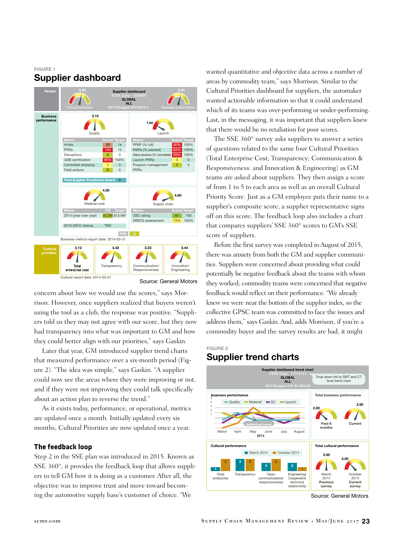### FIGURE 1 Supplier dashboard



Source: General Motors

concern about how we would use the scores," says Morrison. However, once suppliers realized that buyers weren't using the tool as a club, the response was positive. "Suppliers told us they may not agree with our score, but they now had transparency into what was important to GM and how they could better align with our priorities," says Gaskin.

Later that year, GM introduced supplier trend charts that measured performance over a six-month period (Figure 2). "The idea was simple," says Gaskin. "A supplier could now see the areas where they were improving or not, and if they were not improving they could talk specifically about an action plan to reverse the trend."

As it exists today, performance, or operational, metrics are updated once a month. Initially updated every six months, Cultural Priorities are now updated once a year.

### **The feedback loop**

Step 2 in the SSE plan was introduced in 2015. Known as SSE 360°, it provides the feedback loop that allows suppliers to tell GM how it is doing as a customer. After all, the objective was to improve trust and move toward becoming the automotive supply base's customer of choice. "We

wanted quantitative and objective data across a number of areas by commodity team," says Morrison. Similar to the Cultural Priorities dashboard for suppliers, the automaker wanted actionable information so that it could understand which of its teams was over-performing or under-performing. Last, in the messaging, it was important that suppliers knew that there would be no retaliation for poor scores.

The SSE 360° survey asks suppliers to answer a series of questions related to the same four Cultural Priorities (Total Enterprise Cost; Transparency; Communication & Responsiveness: and Innovation & Engineering) as GM teams are asked about suppliers. They then assign a score of from 1 to 5 to each area as well as an overall Cultural Priority Score. Just as a GM employee puts their name to a supplier's composite score, a supplier representative signs off on this score. The feedback loop also includes a chart that compares suppliers' SSE 360° scores to GM's SSE score of suppliers.

Before the first survey was completed in August of 2015, there was anxiety from both the GM and supplier communities. Suppliers were concerned about providing what could potentially be negative feedback about the teams with whom they worked; commodity teams were concerned that negative feedback would reflect on their performance. "We already knew we were near the bottom of the supplier index, so the collective GPSC team was committed to face the issues and address them," says Gaskin. And, adds Morrison, if you're a commodity buyer and the survey results are bad, it might

### FIGURE 2 Supplier trend charts



Source: General Motors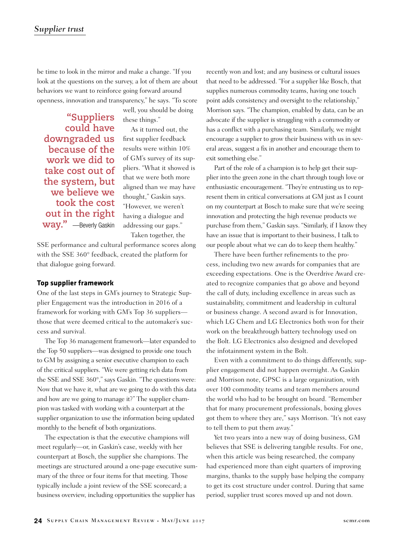be time to look in the mirror and make a change. "If you look at the questions on the survey, a lot of them are about behaviors we want to reinforce going forward around openness, innovation and transparency," he says. "To score

**"Suppliers could have downgraded us because of the work we did to take cost out of the system, but we believe we took the cost out in the right way."** —Beverly Gaskin

these things." As it turned out, the first supplier feedback results were within 10%

well, you should be doing

of GM's survey of its suppliers. "What it showed is that we were both more aligned than we may have thought," Gaskin says. "However, we weren't having a dialogue and addressing our gaps." Taken together, the

SSE performance and cultural performance scores along with the SSE 360° feedback, created the platform for that dialogue going forward.

### **Top supplier framework**

One of the last steps in GM's journey to Strategic Supplier Engagement was the introduction in 2016 of a framework for working with GM's Top 36 suppliers those that were deemed critical to the automaker's success and survival.

The Top 36 management framework—later expanded to the Top 50 suppliers—was designed to provide one touch to GM by assigning a senior executive champion to each of the critical suppliers. "We were getting rich data from the SSE and SSE 360°," says Gaskin. "The questions were: Now that we have it, what are we going to do with this data and how are we going to manage it?" The supplier champion was tasked with working with a counterpart at the supplier organization to use the information being updated monthly to the benefit of both organizations.

The expectation is that the executive champions will meet regularly—or, in Gaskin's case, weekly with her counterpart at Bosch, the supplier she champions. The meetings are structured around a one-page executive summary of the three or four items for that meeting. Those typically include a joint review of the SSE scorecard; a business overview, including opportunities the supplier has

recently won and lost; and any business or cultural issues that need to be addressed. "For a supplier like Bosch, that supplies numerous commodity teams, having one touch point adds consistency and oversight to the relationship," Morrison says. "The champion, enabled by data, can be an advocate if the supplier is struggling with a commodity or has a conflict with a purchasing team. Similarly, we might encourage a supplier to grow their business with us in several areas, suggest a fix in another and encourage them to exit something else."

Part of the role of a champion is to help get their supplier into the green zone in the chart through tough love or enthusiastic encouragement. "They're entrusting us to represent them in critical conversations at GM just as I count on my counterpart at Bosch to make sure that we're seeing innovation and protecting the high revenue products we purchase from them," Gaskin says. "Similarly, if I know they have an issue that is important to their business, I talk to our people about what we can do to keep them healthy."

There have been further refinements to the process, including two new awards for companies that are exceeding expectations. One is the Overdrive Award created to recognize companies that go above and beyond the call of duty, including excellence in areas such as sustainability, commitment and leadership in cultural or business change. A second award is for Innovation, which LG Chem and LG Electronics both won for their work on the breakthrough battery technology used on the Bolt. LG Electronics also designed and developed the infotainment system in the Bolt.

Even with a commitment to do things differently, supplier engagement did not happen overnight. As Gaskin and Morrison note, GPSC is a large organization, with over 100 commodity teams and team members around the world who had to be brought on board. "Remember that for many procurement professionals, boxing gloves got them to where they are," says Morrison. "It's not easy to tell them to put them away."

Yet two years into a new way of doing business, GM believes that SSE is delivering tangible results. For one, when this article was being researched, the company had experienced more than eight quarters of improving margins, thanks to the supply base helping the company to get its cost structure under control. During that same period, supplier trust scores moved up and not down.